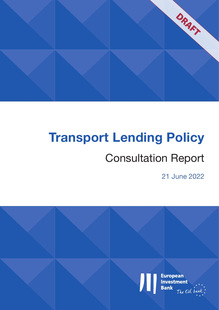

# **Transport Lending Policy**

## Consultation Report

21 June 2022

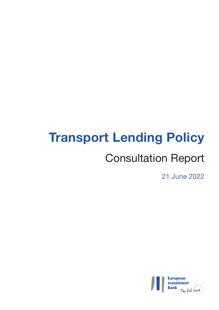## **Transport Lending Policy**

## Consultation Report

21 June 2022

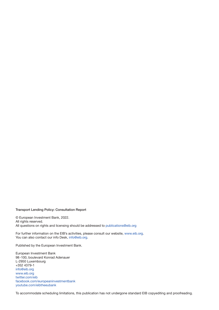#### Transport Lending Policy: Consultation Report

© European Investment Bank, 2022.

All rights reserved.

All questions on rights and licensing should be addressed to [publications@eib.org](http://publications@eib.org)

For further information on the EIB's activities, please consult our website, [www.eib.org.](http://www.eib.org) You can also contact our info Desk, [info@eib.org](http://info@eib.org).

Published by the European Investment Bank.

European Investment Bank 98-100, boulevard Konrad Adenauer L-2950 Luxembourg +352 4379-1 [info@eib.org](http://info@eib.org) [www.eib.org](http://www.eib.org) [twitter.com/eib](http://twitter.com/eib) [facebook.com/europeaninvestmentbank](http://facebook.com/europeaninvestmentbank) [youtube.com/eibtheeubank](http://youtube.com/eibtheeubank)

To accommodate scheduling limitations, this publication has not undergone standard EIB copyediting and proofreading.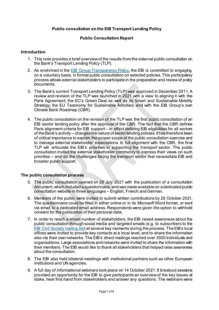#### **Public consultation on the EIB Transport Lending Policy**

#### **Public Consultation Report**

#### **Introduction**

- 1. This note provides a brief overviewof the results from the external public consultation on the Bank's Transport Lending Policy (TLP).
- 2. As enshrined in the **EIB Group Transparency Policy**, the EIB is committed to engaging, on a voluntary basis, in formal public consultation on selected policies. This participatory process allows external stakeholders to participate in the preparation and review of policy documents.
- 3. The Bank's current Transport Lending Policy (TLP) was approved in December 2011. A review and revision of the TLP was launched in 2021 with a view to aligning it with the Paris Agreement; the EC's Green Deal as well as its Smart and Sustainable Mobility Strategy; the EU Taxonomy for Sustainable Activities; and with the EIB Group's own Climate Bank Roadmap (CBR).
- 4. The public consultation on the revision of the TLP was the first public consultation of an EIB sector lending policy after the approval of the CBR. The fact that the CBR defines Paris alignment criteria for EIB support – in effect defining EIB eligibilities for all sectors of the Bank's activity – changes the nature of sector lending policies. It has therefore been of critical importance to explain the proper scope of the public consultation exercise and to manage external stakeholder' expectations. In full alignment with the CBR, the final TLP will articulate the EIB's priorities in supporting the transport sector. The public consultation invited the external stakeholder community to express their views on such priorities – and on the challenges facing the transport sector that necessitate EIB and broader public support.

#### **The public consultation process**

- 5. The public consultation opened on 26 July 2021 with the publication of a consultation document, which included a questionnaire, and was made available on a dedicated public consultation website in three languages – English, French and German.
- 6. Members of the public were invited to submit written contributions by 29 October 2021. The questionnaire could be filled in either online or in its Microsoft Word format, or sent via email to a dedicated email address. Respondents were given the option to withhold consent for the publication of their personal data.
- 7. In order to reach a broad number of stakeholders, the EIB raised awareness about the public consultation through social media and targeted emails (e.g. to subscribers to the [EIB Civil Society mailing list\)](https://www.eib.org/en/about/partners/cso/civil-society-mailing-list-subscription.htm) at several key moments during the process. The EIB's local offices were invited to provide key contacts at a local level, and to share the information also via their own networks. The EIB's direct mailings reached over 3500 individuals and organisations. Large associations and networks were invited to share the information with their members. The EIB would like to thank all stakeholders that helped raise awareness about the consultation.
- 8. The EIB also held bilateral meetings with institutional partners such as other European institutions and UN agencies.
- 9. A full day of informational webinars took place on 14 October 2021. 8 breakout sessions provided an opportunity for the EIB to give participants an overview of the key issues at stake, hear first hand from stakeholders and answer any questions. The webinars were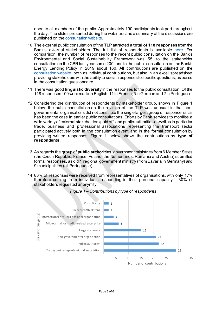open to all members of the public. Approximately 190 participants took part throughout the day. The slides presented during the webinars and a summary of the discussions are published on the [consultation website.](https://consult.eib.org/consultation/tlp-2021-en/#fact-bank-3)

- 10.The external public consultation of the TLP attracted **a total of 118 responses** from the Bank's external stakeholders. The full list of respondents is available [here.](https://consult.eib.org/consultation/tlp-2021-en/user_uploads/overview-table.pdf) For comparison, the number of responses to the recent public consultation on the Bank's Environmental and Social Sustainability Framework was 55; to the stakeholder consultation on the CBR last year some 200; and to the public consultation on the Bank's Energy Lending Policy in 2019 about 160. All contributions are published on the [consultation](https://consult.eib.org/consultation/tlp-2021-en/consultation/published_select_respondent) website, both as individual contributions, but also in an excel spreadsheet providing stakeholders with the ability to see all responses to specific questions, as posed in the consultation questionnaire.
- 11.There was good **linguistic diversity** in the responses to the public consultation. Of the 118 responses 100 were made in English; 11 in French; 5 in German and 2 in Portuguese.
- *12.* Considering the distribution of respondents by stakeholder group, shown in Figure 1 below, the pubic consultation on the revision of the TLP was unusual in that nongovernmental organisations did not constitute the single largest group of respondents, as has been the case in earlier public consultations. Efforts by Bank services to mobilise a wide variety of external stakeholders paid off, and public authorities as well as in particular trade, business and professional associations representing the transport sector participated actively both in the consultation event and in the formal consultation by providing written responses. Figure 1 below shows the contributions by **type of respondents.**
- 13.As regards the group of **public authorities**, government ministries from 6 Member States (the Czech Republic, France, Poland, the Netherlands, Romania and Austria) submitted formal responses, as did 1 regional government ministry (from Bavaria in Germany) and 9 municipalities (all Portuguese).
- 14. 83% of responses were received from representatives of organisations, with only 17% therefore coming from individuals responding in their personal capacity. stakeholders requested anonymity.



*Figure 1 – Contributions by type of respondents*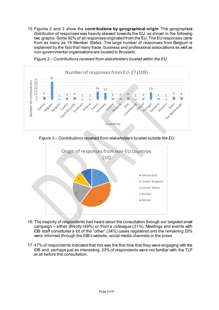15.Figures 2 and 3 show the **contributions by geographical origin**. The geographical distribution of responses was heavily skewed towards the EU, as shown in the following two graphs. Some 92% of all responses originated from the EU. The EU responses came from as many as 19 Member States. The large number of responses from Belgium is explained by the fact that many trade, business and professional associations as well as non-governmental organisations are located in Brussels:



*Figure 2 – Contributions received from stakeholders located within the EU*

*Figure 3 – Contributions received from stakeholders located outside the EU*



- 16.The majority of respondents had heard about the consultation through our targeted email campaign – either directly (49%) or from a colleague (31%). Meetings and events with EIB staff constitutes a lot of the "other" (34%) cases registered and the remaining 20% were informed through the EIB's website, social media channels or the press.
- 17. 47% of respondents indicated that this was the first time that they were engaging with the EIB and, perhaps just as interesting, 33% of respondents were not familiar with the TLP at all before this consultation.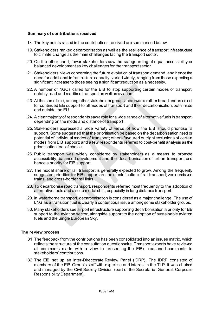#### **Summary of contributions received**

- 18. The key points raised in the contributions received are summarised below.
- 19. Stakeholders ranked decarbonisation as well as the resilience of transport infrastructure to climate change as the main challenges facing the transport sector.
- 20. On the other hand, fewer stakeholders saw the safeguarding of equal accessibility or balanced development as key challenges for the transport sector.
- 21. Stakeholders' views concerning the future evolution of transport demand, and hence the need for additional infrastructure capacity, varied widely, ranging from those expecting a significant increase to those seeing a significant reduction as a necessity.
- 22. A number of NGOs called for the EIB to stop supporting certain modes of transport, notably road and maritime transport as well as aviation.
- 23. At the same time, among other stakeholder groups there was a rather broad endorsement for continued EIB support to all modes of transport and their decarbonisation, both inside and outside the EU.
- 24. A clear majority of respondents saw a role for a wide range of alternative fuels in transport, depending on the mode and distance of transport.
- 25. Stakeholders expressed a wide variety of views of how the EIB should prioritise its support. Some suggested that the prioritisation be based on the decarbonisation need or potential of individual modes of transport; others favoured outright exclusions of certain modes from EIB support; and a few respondents referred to cost-benefit analysis as the prioritisation tool of choice.
- 26. Public transport was widely considered by stakeholders as a means to promote accessibility, balanced development and the decarbonisation of urban transport, and hence a priority for EIB support.
- 27. The modal share of rail transport is generally expected to grow. Among the frequently suggested priorities for EIB support are the electrification of rail transport; zero-emission trains; and cross-border rail links.
- 28. To decarbonise road transport, respondents referred most frequently to the adoption of alternative fuels and also to modal shift, especially in long distance transport.
- 29. In waterborne transport, decarbonisation is considered as a major challenge. The use of LNG as a transition fuel is clearly a contentious issue among some stakeholder groups.
- 30. Many stakeholders see airport infrastructure supporting decarbonisation a priority for EIB support to the aviation sector, alongside support to the adoption of sustainable aviation fuels and the Single European Sky.

#### **The review process**

- 31.The feedback from the contributions has been consolidated into an issues matrix, which reflects the structure of the consultation questionnaire. Transport experts have reviewed all comments made with a view to presenting the EIB's reasoned comments to stakeholders' contributions.
- 32.The EIB set up an Inter-Directorate Review Panel (IDRP). The IDRP consisted of members of the EIB Group's staff with expertise and interest in the TLP. It was chaired and managed by the Civil Society Division (part of the Secretariat General, Corporate Responsibility Department).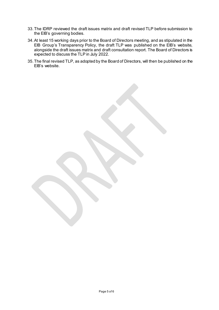- 33.The IDRP reviewed the draft issues matrix and draft revised TLP before submission to the EIB's governing bodies.
- 34.At least 15 working days prior to the Board of Directors meeting, and as stipulated in the EIB Group's Transparency Policy, the draft TLP was published on the EIB's website, alongside the draft issues matrix and draft consultation report. The Board of Directors is expected to discuss the TLP in July 2022.
- 35.The final revised TLP, as adopted by the Board of Directors, will then be published on the EIB's website.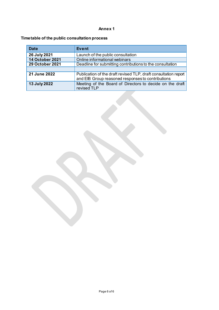#### **Annex 1**

#### **Timetable of the public consultation process**

| <b>Date</b>            | <b>Event</b>                                                                                                         |
|------------------------|----------------------------------------------------------------------------------------------------------------------|
| 26 July 2021           | Launch of the public consultation                                                                                    |
| <b>14 October 2021</b> | Online informational webinars                                                                                        |
| <b>29 October 2021</b> | Deadline for submitting contributions to the consultation                                                            |
|                        |                                                                                                                      |
| 21 June 2022           | Publication of the draft revised TLP, draft consultation report<br>and EIB Group reasoned responses to contributions |
| 13 July 2022           | Meeting of the Board of Directors to decide on the draft<br>revised TLP                                              |